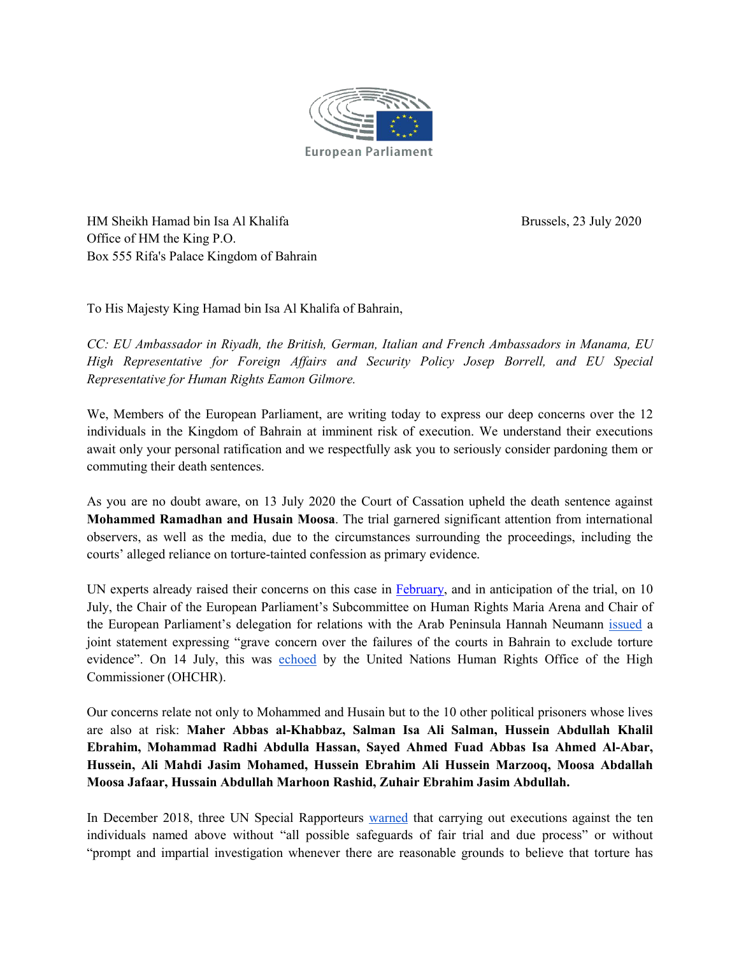

HM Sheikh Hamad bin Isa Al Khalifa Brussels, 23 July 2020 Office of HM the King P.O. Box 555 Rifa's Palace Kingdom of Bahrain

To His Majesty King Hamad bin Isa Al Khalifa of Bahrain,

*CC: EU Ambassador in Riyadh, the British, German, Italian and French Ambassadors in Manama, EU High Representative for Foreign Af airs and Security Policy Josep Borrell, and EU Special Representative for Human Rights Eamon Gilmore.*

We, Members of the European Parliament, are writing today to express our deep concerns over the 12 individuals in the Kingdom of Bahrain at imminent risk of execution. We understand their executions await only your personal ratification and we respectfully ask you to seriously consider pardoning them or commuting their death sentences.

As you are no doubt aware, on 13 July 2020 the Court of Cassation upheld the death sentence against **Mohammed Ramadhan and Husain Moosa**. The trial garnered significant attention from international observers, as well as the media, due to the circumstances surrounding the proceedings, including the courts' alleged reliance on torture-tainted confession as primary evidence.

UN experts already raised their concerns on this case in [February,](https://www.ohchr.org/EN/NewsEvents/Pages/DisplayNews.aspx?NewsID=25543&LangID=E) and in anticipation of the trial, on 10 July, the Chair of the European Parliament's Subcommittee on Human Rights Maria Arena and Chair of the European Parliament's delegation for relations with the Arab Peninsula Hannah Neumann [issued](https://www.europarl.europa.eu/news/en/press-room/20200710IPR83111/meps-deeply-concerned-over-bahraini-prisoners-sentenced-to-death) a joint statement expressing "grave concern over the failures of the courts in Bahrain to exclude torture evidence". On 14 July, this was [echoed](https://www.ohchr.org/en/NewsEvents/Pages/DisplayNews.aspx?NewsID=26088&LangID=E) by the United Nations Human Rights Office of the High Commissioner (OHCHR).

Our concerns relate not only to Mohammed and Husain but to the 10 other political prisoners whose lives are also at risk: **Maher Abbas al-Khabbaz, Salman Isa Ali Salman, Hussein Abdullah Khalil Ebrahim, Mohammad Radhi Abdulla Hassan, Sayed Ahmed Fuad AbbasIsa Ahmed Al-Abar, Hussein, Ali Mahdi Jasim Mohamed, Hussein Ebrahim Ali Hussein Marzooq, Moosa Abdallah Moosa Jafaar, Hussain Abdullah Marhoon Rashid, Zuhair Ebrahim Jasim Abdullah.**

In December 2018, three UN Special Rapporteurs [warned](https://spcommreports.ohchr.org/TMResultsBase/DownLoadPublicCommunicationFile?gId=24236) that carrying out executions against the ten individuals named above without "all possible safeguards of fair trial and due process" or without "prompt and impartial investigation whenever there are reasonable grounds to believe that torture has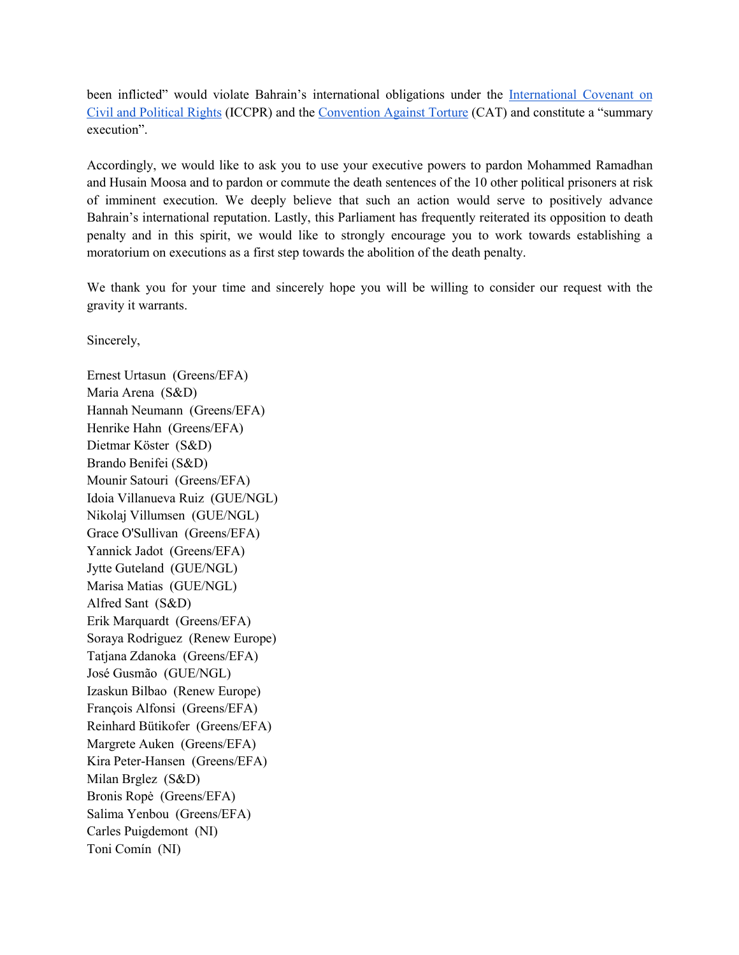been inflicted" would violate Bahrain's international obligations under the [International](https://www.ohchr.org/en/professionalinterest/pages/ccpr.aspx) Covenant on Civil and Political Rights (ICCPR) and the [Convention](https://www.ohchr.org/en/professionalinterest/pages/cat.aspx) Against Torture (CAT) and constitute a "summary execution".

Accordingly, we would like to ask you to use your executive powers to pardon Mohammed Ramadhan and Husain Moosa and to pardon or commute the death sentences of the 10 other political prisoners at risk of imminent execution. We deeply believe that such an action would serve to positively advance Bahrain's international reputation. Lastly, this Parliament has frequently reiterated its opposition to death penalty and in this spirit, we would like to strongly encourage you to work towards establishing a moratorium on executions as a first step towards the abolition of the death penalty.

We thank you for your time and sincerely hope you will be willing to consider our request with the gravity it warrants.<br>Sincerely,

Ernest Urtasun (Greens/EFA) Maria Arena (S&D) Hannah Neumann (Greens/EFA) Henrike Hahn (Greens/EFA) Dietmar Köster (S&D) Brando Benifei (S&D) Mounir Satouri (Greens/EFA) Idoia Villanueva Ruiz (GUE/NGL) Nikolaj Villumsen (GUE/NGL) Grace O'Sullivan (Greens/EFA) Yannick Jadot (Greens/EFA) Jytte Guteland (GUE/NGL) Marisa Matias (GUE/NGL) Alfred Sant (S&D) Erik Marquardt (Greens/EFA) Soraya Rodriguez (Renew Europe) Tatjana Zdanoka (Greens/EFA) José Gusmão (GUE/NGL) Izaskun Bilbao (Renew Europe) François Alfonsi (Greens/EFA) Reinhard Bütikofer (Greens/EFA) Margrete Auken (Greens/EFA) Kira Peter-Hansen (Greens/EFA) Milan Brglez (S&D) Bronis Ropė (Greens/EFA) Salima Yenbou (Greens/EFA) Carles Puigdemont (NI) Toni Comín (NI)